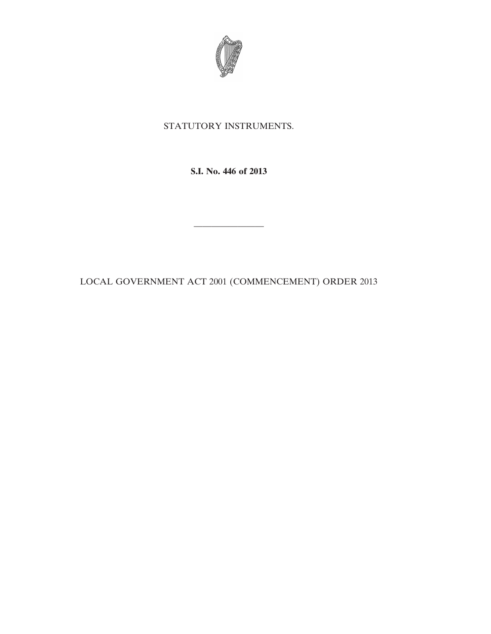

## STATUTORY INSTRUMENTS.

**S.I. No. 446 of 2013**

————————

LOCAL GOVERNMENT ACT 2001 (COMMENCEMENT) ORDER 2013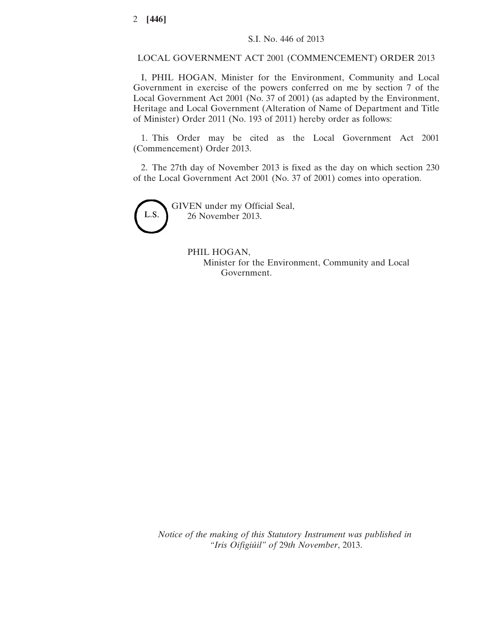LOCAL GOVERNMENT ACT 2001 (COMMENCEMENT) ORDER 2013

I, PHIL HOGAN, Minister for the Environment, Community and Local Government in exercise of the powers conferred on me by section 7 of the Local Government Act 2001 (No. 37 of 2001) (as adapted by the Environment, Heritage and Local Government (Alteration of Name of Department and Title of Minister) Order 2011 (No. 193 of 2011) hereby order as follows:

1. This Order may be cited as the Local Government Act 2001 (Commencement) Order 2013.

2. The 27th day of November 2013 is fixed as the day on which section 230 of the Local Government Act 2001 (No. 37 of 2001) comes into operation.



GIVEN under my Official Seal, 26 November 2013.

## PHIL HOGAN,

Minister for the Environment, Community and Local Government.

*Notice of the making of this Statutory Instrument was published in "Iris Oifigiúil" of* 29*th November*, 2013.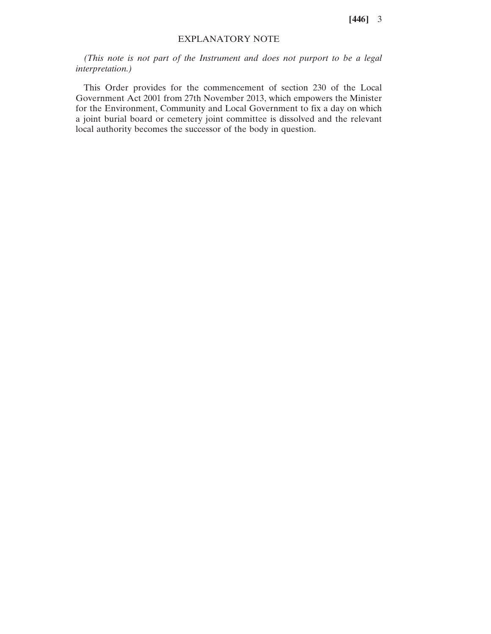**[446]** 3

## EXPLANATORY NOTE

*(This note is not part of the Instrument and does not purport to be a legal interpretation.)*

This Order provides for the commencement of section 230 of the Local Government Act 2001 from 27th November 2013, which empowers the Minister for the Environment, Community and Local Government to fix a day on which a joint burial board or cemetery joint committee is dissolved and the relevant local authority becomes the successor of the body in question.